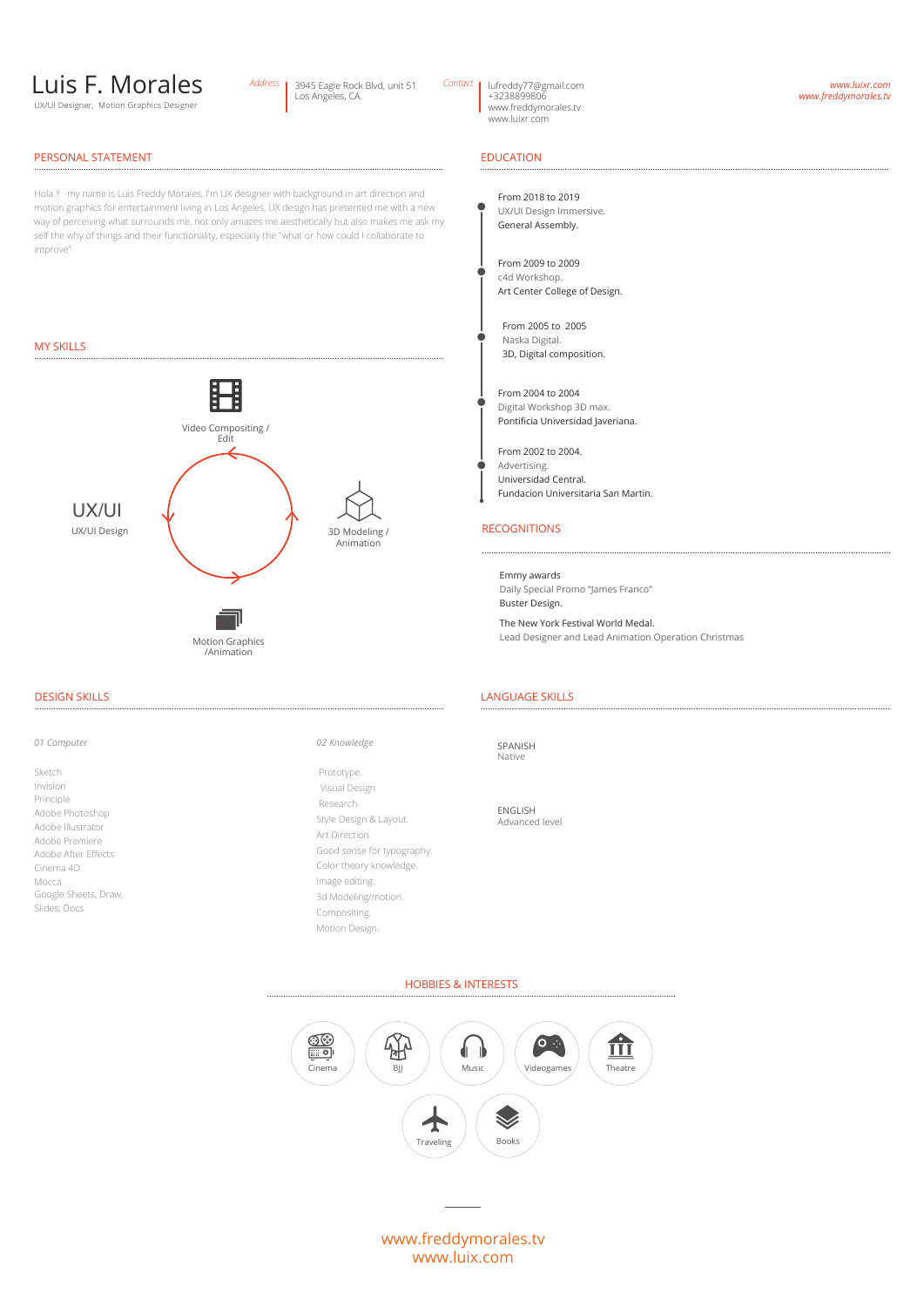# Luis F. Morales

UX/UI Designer, Motion Graphics Designer

#### Los Angeles, CA. Address | 3945 Eagle Rock Blvd, unit 51 Contact

lufreddy77@gmail.com<br>+3238899806

www.freddymorales.tv www.luixr.com

#### *www.luixr.com www.freddymorales.tv*

### PERSONAL STATEMENT ............................................................................................................................................................................. EDUCATION

Hola !! my name is Luis Freddy Morales, I'm UX designer with background in art direction and motion graphics for entertainment living in Los Angeles, UX design has presented me with a new way of perceiving what surrounds me, not only amazes me aesthetically but also makes me ask my self the why of things and their functionality, especially the "what or how could I collaborate to improve

### MY SKILLS



#### DESIGN SKILLS .............................................................................................................................................................................

Adobe Photoshop Adobe Illustrator Cinema 4D Adobe After Effects Mocca Adobe Premiere Sketch Invision Principle Google Sheets, Draw, Slides, Docs

*01 Computer 02 Knowledge*

Style Design & Layout. Good sense for typography. Color theory knowledge. Image editing. 3d Modeling/motion. Compositing. Motion Design. Art Direction. Prototype. Visual Design Research

## .............................................................................................................................................................................

From 2018 to 2019 UX/UI Design Immersive. General Assembly.

From 2009 to 2009 c4d Workshop. Art Center College of Design.

From 2005 to 2005 Naska Digital. 3D, Digital composition.

From 2004 to 2004 Digital Workshop 3D max. Pontificia Universidad Javeriana.

From 2002 to 2004. Advertising. Universidad Central. Fundacion Universitaria San Martin.

### RECOGNITIONS

Emmy awards Daily Special Promo "James Franco" Buster Design.

The New York Festival World Medal. Lead Designer and Lead Animation Operation Christmas

.............................................................................................................................................................................

#### LANGUAGE SKILLS .............................................................................................................................................................................

SPANISH Native

ENGLISH Advanced level

HOBBIES & INTERESTS



www.freddymorales.tv www.luix.com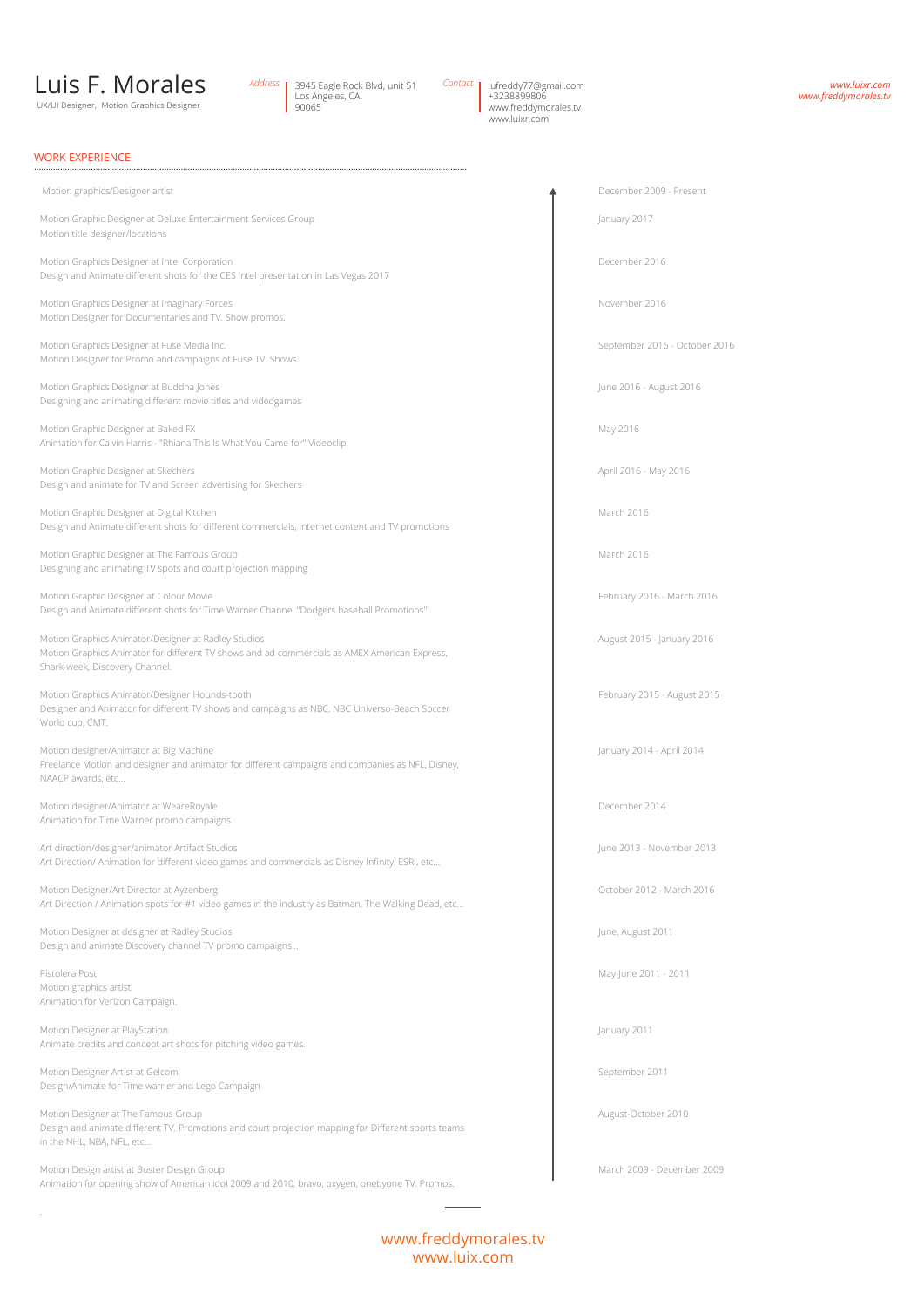## Luis F. Morales

UX/UI Designer, Motion Graphics Designe

3945 Eagle Rock Blvd, unit 51 Los Angeles, CA. 90065 Address 3945 Eagle Rock Blvd, unit 51 Contact | lufreddy77@gmail.com<br>| Los Angeles, CA. | +3238899806

www.freddymorales.tv www.luixr.com

*www.luixr.com www.freddymorales.tv*

#### WORK EXPERIENCE

Motion graphics/Designer artist and the content of the content of the content of the content of the December 2009 - Present

Motion Graphic Designer at Deluxe Entertainment Services Group January 2017 Motion title designer/locations

Motion Graphics Designer at Intel Corporation **December 2016 December 2016** Design and Animate different shots for the CES Intel presentation in Las Vegas 2017

.......................................................................................................................................................................................

Motion Graphics Designer at Imaginary Forces November 2016 Motion Designer for Documentaries and TV. Show promos.

Motion Graphics Designer at Fuse Media Inc. September 2016 - October 2016 - October 2016 Motion Designer for Promo and campaigns of Fuse TV. Shows

Motion Graphics Designer at Buddha Jones June 2016 - August 2016 - August 2016 - August 2016 Designing and animating different movie titles and videogames

Motion Graphic Designer at Baked FX May 2016 Animation for Calvin Harris - "Rhiana This Is What You Came for" Videoclip

Motion Graphic Designer at Skechers April 2016 - May 2016 - May 2016 - May 2016 - May 2016 - May 2016 - May 2016 Design and animate for TV and Screen advertising for Skechers

Motion Graphic Designer at Digital Kitchen March 2016 **March 2016** March 2016 March 2016 Design and Animate different shots for different commercials, Internet content and TV promotions

Motion Graphic Designer at The Famous Group March 2016 **March 2016** March 2016 Designing and animating TV spots and court projection mapping

Motion Graphic Designer at Colour Movie **February 2016** - March 2016 - March 2016 - March 2016 - March 2016 Design and Animate different shots for Time Warner Channel "Dodgers baseball Promotions"

Motion Graphics Animator/Designer at Radley Studios August 2015 - January 2016 Motion Graphics Animator for different TV shows and ad commercials as AMEX American Express, Shark-week, Discovery Channel.

Motion Graphics Animator/Designer Hounds-tooth February 2015 - August 2015 Designer and Animator for different TV shows and campaigns as NBC, NBC Universo-Beach Soccer World cup, CMT.

Motion designer/Animator at Big Machine January 2014 - April 2014 Freelance Motion and designer and animator for different campaigns and companies as NFL, Disney, NAACP awards, etc...

Motion designer/Animator at WeareRoyale **December 2014** December 2014 Animation for Time Warner promo campaigns

Art direction/designer/animator Artifact Studios **June 2013** - November 2013 Art Direction/ Animation for different video games and commercials as Disney Infinity, ESRI, etc...

Motion Designer/Art Director at Ayzenberg **October 2012 - March 2016** October 2012 - March 2016 Art Direction / Animation spots for #1 video games in the industry as Batman, The Walking Dead, etc...

Motion Designer at designer at Radley Studios **June, August 2011** June, August 2011 Design and animate Discovery channel TV promo campaigns...

Pistolera Post May-June 2011 - 2011 - 2011 - 2011 - 2011 - 2011 - 2011 - 2011 - 2011 - 2011 - 2011 - 2011 - 2011 - 2011 - 2011 - 2011 - 2011 - 2011 - 2011 - 2011 - 2011 - 2011 - 2011 - 2011 - 2011 - 2011 - 2011 - 2011 - 20 Motion graphics artist Animation for Verizon Campaign.

Motion Designer at PlayStation **January 2011 January 2011 January 2011** Animate credits and concept art shots for pitching video games.

Motion Designer Artist at Gelcom September 2011 and September 2011 and September 2011 Design/Animate for Time warner and Lego Campaign

Motion Designer at The Famous Group August-October 2010 Design and animate different TV. Promotions and court projection mapping for Different sports teams in the NHL, NBA, NFL, etc...

Motion Design artist at Buster Design Group March 2009 - December 2009 - December 2009 Animation for opening show of American idol 2009 and 2010, bravo, oxygen, onebyone TV. Promos.

### www.freddymorales.tv www.luix.com